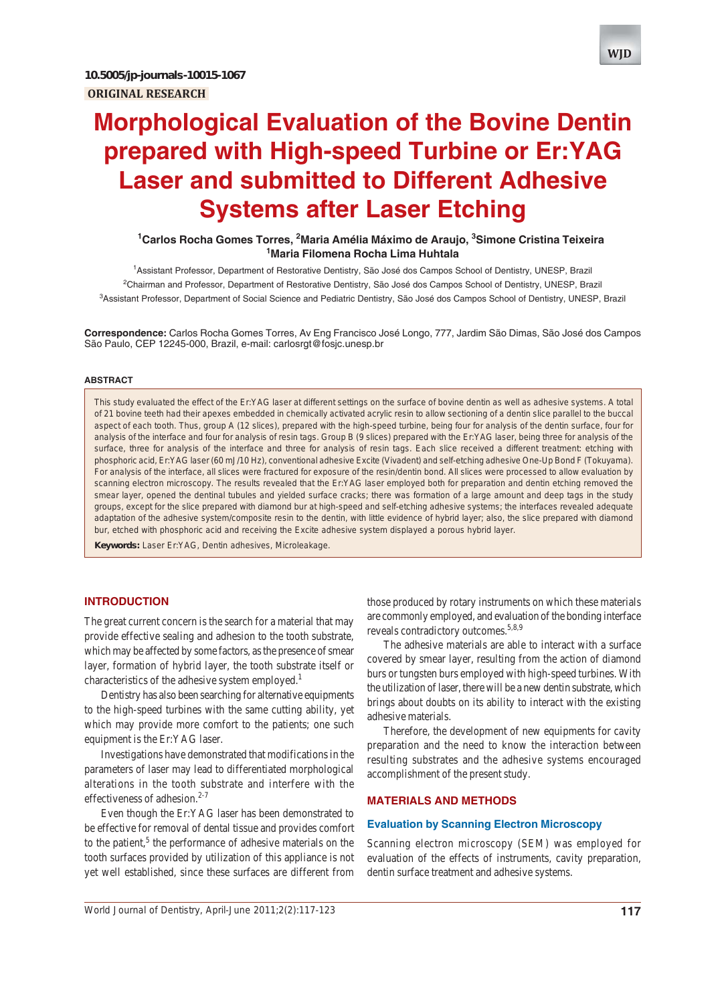# **Morphological Evaluation of the Bovine Dentin prepared with High-speed Turbine or Er:YAG Laser and submitted to Different Adhesive Systems after Laser Etching**

## <sup>1</sup>Carlos Rocha Gomes Torres, <sup>2</sup>Maria Amélia Máximo de Araujo, <sup>3</sup>Simone Cristina Teixeira **1 Maria Filomena Rocha Lima Huhtala**

1 Assistant Professor, Department of Restorative Dentistry, São José dos Campos School of Dentistry, UNESP, Brazil <sup>2</sup>Chairman and Professor, Department of Restorative Dentistry, São José dos Campos School of Dentistry, UNESP, Brazil 3 Assistant Professor, Department of Social Science and Pediatric Dentistry, São José dos Campos School of Dentistry, UNESP, Brazil

**Correspondence:** Carlos Rocha Gomes Torres, Av Eng Francisco José Longo, 777, Jardim São Dimas, São José dos Campos São Paulo, CEP 12245-000, Brazil, e-mail: carlosrgt@fosjc.unesp.br

#### **ABSTRACT**

This study evaluated the effect of the Er:YAG laser at different settings on the surface of bovine dentin as well as adhesive systems. A total of 21 bovine teeth had their apexes embedded in chemically activated acrylic resin to allow sectioning of a dentin slice parallel to the buccal aspect of each tooth. Thus, group A (12 slices), prepared with the high-speed turbine, being four for analysis of the dentin surface, four for analysis of the interface and four for analysis of resin tags. Group B (9 slices) prepared with the Er:YAG laser, being three for analysis of the surface, three for analysis of the interface and three for analysis of resin tags. Each slice received a different treatment: etching with phosphoric acid, Er:YAG laser (60 mJ/10 Hz), conventional adhesive Excite (Vivadent) and self-etching adhesive One-Up Bond F (Tokuyama). For analysis of the interface, all slices were fractured for exposure of the resin/dentin bond. All slices were processed to allow evaluation by scanning electron microscopy. The results revealed that the Er:YAG laser employed both for preparation and dentin etching removed the smear layer, opened the dentinal tubules and yielded surface cracks; there was formation of a large amount and deep tags in the study groups, except for the slice prepared with diamond bur at high-speed and self-etching adhesive systems; the interfaces revealed adequate adaptation of the adhesive system/composite resin to the dentin, with little evidence of hybrid layer; also, the slice prepared with diamond bur, etched with phosphoric acid and receiving the Excite adhesive system displayed a porous hybrid layer.

**Keywords:** Laser Er:YAG, Dentin adhesives, Microleakage.

#### **INTRODUCTION**

The great current concern is the search for a material that may provide effective sealing and adhesion to the tooth substrate, which may be affected by some factors, as the presence of smear layer, formation of hybrid layer, the tooth substrate itself or characteristics of the adhesive system employed.<sup>1</sup>

Dentistry has also been searching for alternative equipments to the high-speed turbines with the same cutting ability, yet which may provide more comfort to the patients; one such equipment is the Er:YAG laser.

Investigations have demonstrated that modifications in the parameters of laser may lead to differentiated morphological alterations in the tooth substrate and interfere with the effectiveness of adhesion. $2-7$ 

Even though the Er:YAG laser has been demonstrated to be effective for removal of dental tissue and provides comfort to the patient,<sup>5</sup> the performance of adhesive materials on the tooth surfaces provided by utilization of this appliance is not yet well established, since these surfaces are different from

those produced by rotary instruments on which these materials are commonly employed, and evaluation of the bonding interface reveals contradictory outcomes.<sup>5,8,9</sup>

The adhesive materials are able to interact with a surface covered by smear layer, resulting from the action of diamond burs or tungsten burs employed with high-speed turbines. With the utilization of laser, there will be a new dentin substrate, which brings about doubts on its ability to interact with the existing adhesive materials.

Therefore, the development of new equipments for cavity preparation and the need to know the interaction between resulting substrates and the adhesive systems encouraged accomplishment of the present study.

#### **MATERIALS AND METHODS**

#### **Evaluation by Scanning Electron Microscopy**

Scanning electron microscopy (SEM) was employed for evaluation of the effects of instruments, cavity preparation, dentin surface treatment and adhesive systems.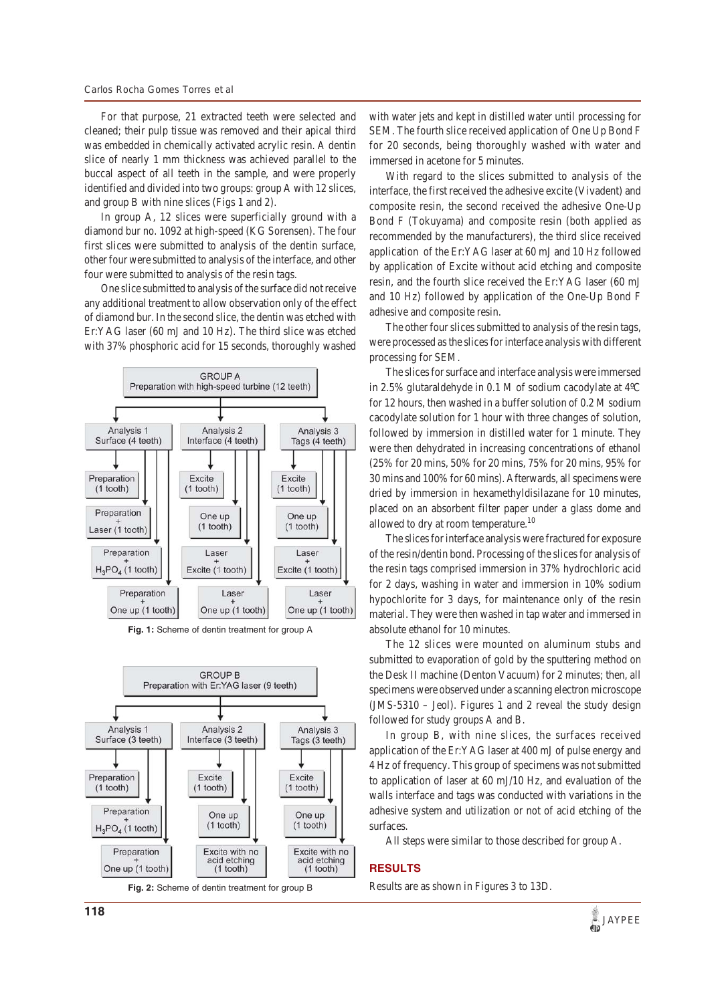For that purpose, 21 extracted teeth were selected and cleaned; their pulp tissue was removed and their apical third was embedded in chemically activated acrylic resin. A dentin slice of nearly 1 mm thickness was achieved parallel to the buccal aspect of all teeth in the sample, and were properly identified and divided into two groups: group A with 12 slices, and group B with nine slices (Figs 1 and 2).

In group A, 12 slices were superficially ground with a diamond bur no. 1092 at high-speed (KG Sorensen). The four first slices were submitted to analysis of the dentin surface, other four were submitted to analysis of the interface, and other four were submitted to analysis of the resin tags.

One slice submitted to analysis of the surface did not receive any additional treatment to allow observation only of the effect of diamond bur. In the second slice, the dentin was etched with Er:YAG laser (60 mJ and 10 Hz). The third slice was etched with 37% phosphoric acid for 15 seconds, thoroughly washed



**Fig. 1:** Scheme of dentin treatment for group A



with water jets and kept in distilled water until processing for SEM. The fourth slice received application of One Up Bond F for 20 seconds, being thoroughly washed with water and immersed in acetone for 5 minutes.

With regard to the slices submitted to analysis of the interface, the first received the adhesive excite (Vivadent) and composite resin, the second received the adhesive One-Up Bond F (Tokuyama) and composite resin (both applied as recommended by the manufacturers), the third slice received application of the Er:YAG laser at 60 mJ and 10 Hz followed by application of Excite without acid etching and composite resin, and the fourth slice received the Er:YAG laser (60 mJ and 10 Hz) followed by application of the One-Up Bond F adhesive and composite resin.

The other four slices submitted to analysis of the resin tags, were processed as the slices for interface analysis with different processing for SEM.

The slices for surface and interface analysis were immersed in 2.5% glutaraldehyde in 0.1 M of sodium cacodylate at 4ºC for 12 hours, then washed in a buffer solution of 0.2 M sodium cacodylate solution for 1 hour with three changes of solution, followed by immersion in distilled water for 1 minute. They were then dehydrated in increasing concentrations of ethanol (25% for 20 mins, 50% for 20 mins, 75% for 20 mins, 95% for 30 mins and 100% for 60 mins). Afterwards, all specimens were dried by immersion in hexamethyldisilazane for 10 minutes, placed on an absorbent filter paper under a glass dome and allowed to dry at room temperature.<sup>10</sup>

The slices for interface analysis were fractured for exposure of the resin/dentin bond. Processing of the slices for analysis of the resin tags comprised immersion in 37% hydrochloric acid for 2 days, washing in water and immersion in 10% sodium hypochlorite for 3 days, for maintenance only of the resin material. They were then washed in tap water and immersed in absolute ethanol for 10 minutes.

The 12 slices were mounted on aluminum stubs and submitted to evaporation of gold by the sputtering method on the Desk II machine (Denton Vacuum) for 2 minutes; then, all specimens were observed under a scanning electron microscope (JMS-5310 – Jeol). Figures 1 and 2 reveal the study design followed for study groups A and B.

In group B, with nine slices, the surfaces received application of the Er:YAG laser at 400 mJ of pulse energy and 4 Hz of frequency. This group of specimens was not submitted to application of laser at 60 mJ/10 Hz, and evaluation of the walls interface and tags was conducted with variations in the adhesive system and utilization or not of acid etching of the surfaces.

All steps were similar to those described for group A.

### **RESULTS**

Results are as shown in Figures 3 to 13D.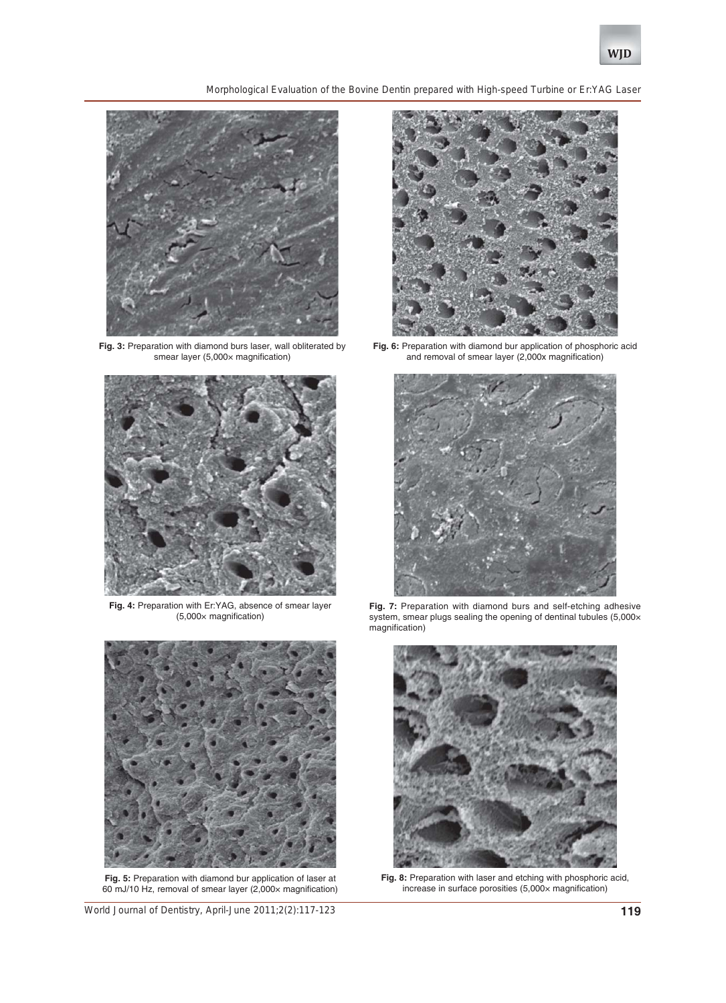*Morphological Evaluation of the Bovine Dentin prepared with High-speed Turbine or Er:YAG Laser*



**Fig. 3:** Preparation with diamond burs laser, wall obliterated by smear layer (5,000x magnification)



**Fig. 4:** Preparation with Er:YAG, absence of smear layer (5,000× magnification)



**Fig. 5:** Preparation with diamond bur application of laser at 60 mJ/10 Hz, removal of smear layer (2,000× magnification)

*World Journal of Dentistry, April-June 2011;2(2):117-123* **119**



**Fig. 6:** Preparation with diamond bur application of phosphoric acid and removal of smear layer (2,000x magnification)



**Fig. 7:** Preparation with diamond burs and self-etching adhesive system, smear plugs sealing the opening of dentinal tubules (5,000× magnification)



**Fig. 8:** Preparation with laser and etching with phosphoric acid, increase in surface porosities (5,000× magnification)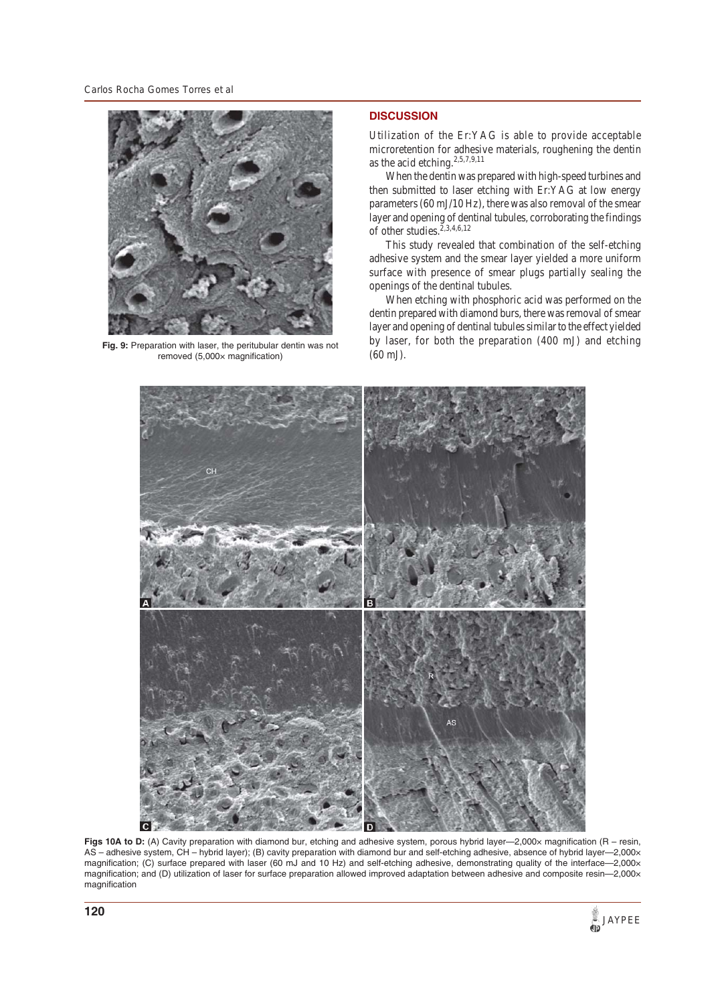

**Fig. 9:** Preparation with laser, the peritubular dentin was not removed (5,000x magnification)

## **DISCUSSION**

Utilization of the Er:YAG is able to provide acceptable microretention for adhesive materials, roughening the dentin as the acid etching.<sup>2,5,7,9,11</sup>

When the dentin was prepared with high-speed turbines and then submitted to laser etching with Er:YAG at low energy parameters (60 mJ/10 Hz), there was also removal of the smear layer and opening of dentinal tubules, corroborating the findings of other studies.2,3,4,6,12

This study revealed that combination of the self-etching adhesive system and the smear layer yielded a more uniform surface with presence of smear plugs partially sealing the openings of the dentinal tubules.

When etching with phosphoric acid was performed on the dentin prepared with diamond burs, there was removal of smear layer and opening of dentinal tubules similar to the effect yielded by laser, for both the preparation (400 mJ) and etching (60 mJ).



**Figs 10A to D:** (A) Cavity preparation with diamond bur, etching and adhesive system, porous hybrid layer—2,000× magnification (R – resin, AS – adhesive system, CH – hybrid layer); (B) cavity preparation with diamond bur and self-etching adhesive, absence of hybrid layer—2,000× magnification; (C) surface prepared with laser (60 mJ and 10 Hz) and self-etching adhesive, demonstrating quality of the interface-2,000x magnification; and (D) utilization of laser for surface preparation allowed improved adaptation between adhesive and composite resin—2,000× magnification

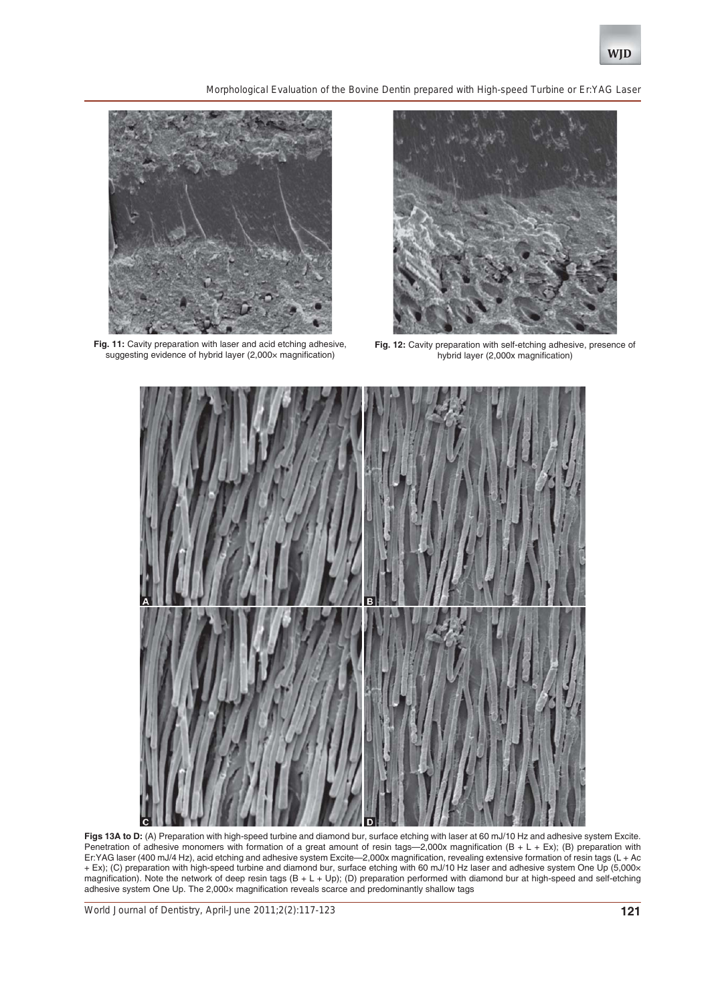

*Morphological Evaluation of the Bovine Dentin prepared with High-speed Turbine or Er:YAG Laser*



Fig. 11: Cavity preparation with laser and acid etching adhesive, suggesting evidence of hybrid layer (2,000x magnification)



**Fig. 12:** Cavity preparation with self-etching adhesive, presence of hybrid layer (2,000x magnification)



**Figs 13A to D:** (A) Preparation with high-speed turbine and diamond bur, surface etching with laser at 60 mJ/10 Hz and adhesive system Excite. Penetration of adhesive monomers with formation of a great amount of resin tags—2,000x magnification (B + L + Ex); (B) preparation with Er:YAG laser (400 mJ/4 Hz), acid etching and adhesive system Excite—2,000x magnification, revealing extensive formation of resin tags (L + Ac + Ex); (C) preparation with high-speed turbine and diamond bur, surface etching with 60 mJ/10 Hz laser and adhesive system One Up (5,000× magnification). Note the network of deep resin tags  $(B + L + Up)$ ; (D) preparation performed with diamond bur at high-speed and self-etching adhesive system One Up. The 2,000× magnification reveals scarce and predominantly shallow tags

*World Journal of Dentistry, April-June 2011;2(2):117-123* **121**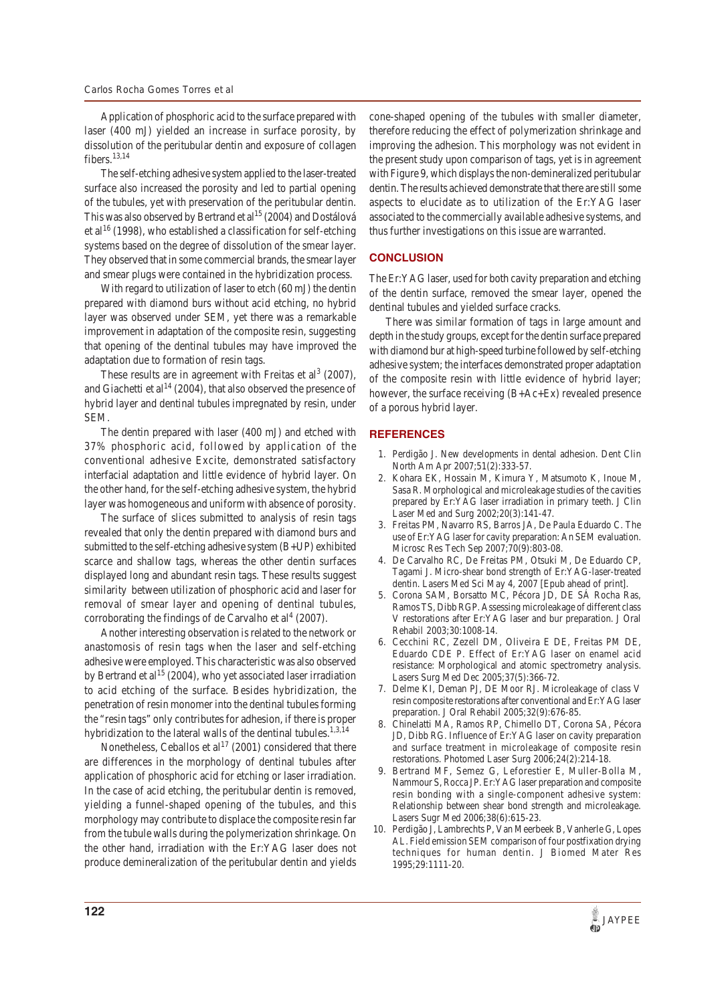Application of phosphoric acid to the surface prepared with laser (400 mJ) yielded an increase in surface porosity, by dissolution of the peritubular dentin and exposure of collagen fibers. $13,14$ 

The self-etching adhesive system applied to the laser-treated surface also increased the porosity and led to partial opening of the tubules, yet with preservation of the peritubular dentin. This was also observed by Bertrand et al<sup>15</sup> (2004) and Dostálová et al<sup>16</sup> (1998), who established a classification for self-etching systems based on the degree of dissolution of the smear layer. They observed that in some commercial brands, the smear layer and smear plugs were contained in the hybridization process.

With regard to utilization of laser to etch (60 mJ) the dentin prepared with diamond burs without acid etching, no hybrid layer was observed under SEM, yet there was a remarkable improvement in adaptation of the composite resin, suggesting that opening of the dentinal tubules may have improved the adaptation due to formation of resin tags.

These results are in agreement with Freitas et al<sup>3</sup> (2007), and Giachetti et al<sup>14</sup> (2004), that also observed the presence of hybrid layer and dentinal tubules impregnated by resin, under SEM.

The dentin prepared with laser (400 mJ) and etched with 37% phosphoric acid, followed by application of the conventional adhesive Excite, demonstrated satisfactory interfacial adaptation and little evidence of hybrid layer. On the other hand, for the self-etching adhesive system, the hybrid layer was homogeneous and uniform with absence of porosity.

The surface of slices submitted to analysis of resin tags revealed that only the dentin prepared with diamond burs and submitted to the self-etching adhesive system (B+UP) exhibited scarce and shallow tags, whereas the other dentin surfaces displayed long and abundant resin tags. These results suggest similarity between utilization of phosphoric acid and laser for removal of smear layer and opening of dentinal tubules, corroborating the findings of de Carvalho et  $al<sup>4</sup>$  (2007).

Another interesting observation is related to the network or anastomosis of resin tags when the laser and self-etching adhesive were employed. This characteristic was also observed by Bertrand et al<sup>15</sup> (2004), who yet associated laser irradiation to acid etching of the surface. Besides hybridization, the penetration of resin monomer into the dentinal tubules forming the "resin tags" only contributes for adhesion, if there is proper hybridization to the lateral walls of the dentinal tubules.<sup>1,3,14</sup>

Nonetheless, Ceballos et  $al^{17}$  (2001) considered that there are differences in the morphology of dentinal tubules after application of phosphoric acid for etching or laser irradiation. In the case of acid etching, the peritubular dentin is removed, yielding a funnel-shaped opening of the tubules, and this morphology may contribute to displace the composite resin far from the tubule walls during the polymerization shrinkage. On the other hand, irradiation with the Er:YAG laser does not produce demineralization of the peritubular dentin and yields

cone-shaped opening of the tubules with smaller diameter, therefore reducing the effect of polymerization shrinkage and improving the adhesion. This morphology was not evident in the present study upon comparison of tags, yet is in agreement with Figure 9, which displays the non-demineralized peritubular dentin. The results achieved demonstrate that there are still some aspects to elucidate as to utilization of the Er:YAG laser associated to the commercially available adhesive systems, and thus further investigations on this issue are warranted.

## **CONCLUSION**

The Er:YAG laser, used for both cavity preparation and etching of the dentin surface, removed the smear layer, opened the dentinal tubules and yielded surface cracks.

There was similar formation of tags in large amount and depth in the study groups, except for the dentin surface prepared with diamond bur at high-speed turbine followed by self-etching adhesive system; the interfaces demonstrated proper adaptation of the composite resin with little evidence of hybrid layer; however, the surface receiving (B+Ac+Ex) revealed presence of a porous hybrid layer.

## **REFERENCES**

- 1. Perdigão J. New developments in dental adhesion. Dent Clin North Am Apr 2007;51(2):333-57.
- 2. Kohara EK, Hossain M, Kimura Y, Matsumoto K, Inoue M, Sasa R. Morphological and microleakage studies of the cavities prepared by Er:YAG laser irradiation in primary teeth. J Clin Laser Med and Surg 2002;20(3):141-47.
- 3. Freitas PM, Navarro RS, Barros JA, De Paula Eduardo C. The use of Er:YAG laser for cavity preparation: An SEM evaluation. Microsc Res Tech Sep 2007;70(9):803-08.
- 4. De Carvalho RC, De Freitas PM, Otsuki M, De Eduardo CP, Tagami J. Micro-shear bond strength of Er:YAG-laser-treated dentin. Lasers Med Sci May 4, 2007 [Epub ahead of print].
- 5. Corona SAM, Borsatto MC, Pécora JD, DE SÁ Rocha Ras, Ramos TS, Dibb RGP. Assessing microleakage of different class V restorations after Er:YAG laser and bur preparation. J Oral Rehabil 2003;30:1008-14.
- 6. Cecchini RC, Zezell DM, Oliveira E DE, Freitas PM DE, Eduardo CDE P. Effect of Er:YAG laser on enamel acid resistance: Morphological and atomic spectrometry analysis. Lasers Surg Med Dec 2005;37(5):366-72.
- 7. Delme KI, Deman PJ, DE Moor RJ. Microleakage of class V resin composite restorations after conventional and Er:YAG laser preparation. J Oral Rehabil 2005;32(9):676-85.
- 8. Chinelatti MA, Ramos RP, Chimello DT, Corona SA, Pécora JD, Dibb RG. Influence of Er:YAG laser on cavity preparation and surface treatment in microleakage of composite resin restorations. Photomed Laser Surg 2006;24(2):214-18.
- 9. Bertrand MF, Semez G, Leforestier E, Muller-Bolla M, Nammour S, Rocca JP. Er:YAG laser preparation and composite resin bonding with a single-component adhesive system: Relationship between shear bond strength and microleakage. Lasers Sugr Med 2006;38(6):615-23.
- 10. Perdigão J, Lambrechts P, Van Meerbeek B, Vanherle G, Lopes AL. Field emission SEM comparison of four postfixation drying techniques for human dentin. J Biomed Mater Res 1995;29:1111-20.